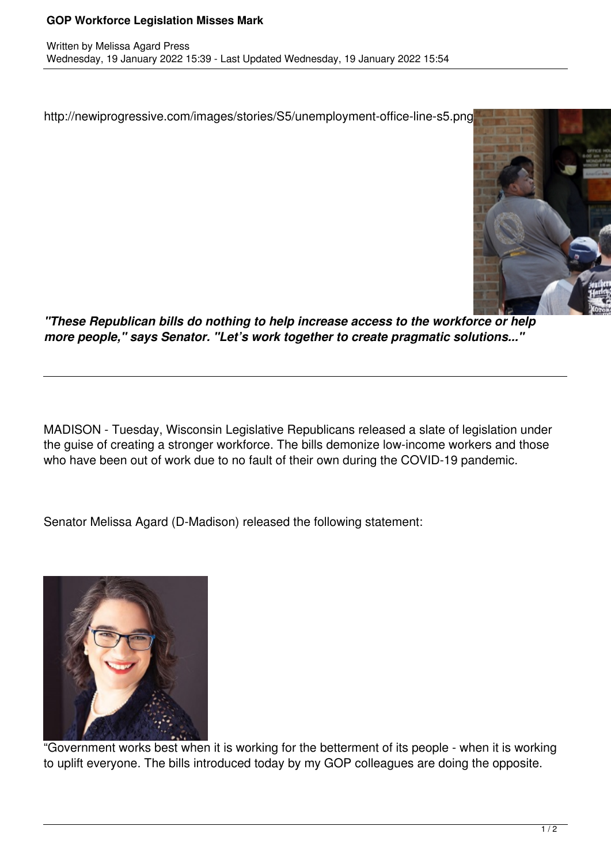## **GOP Workforce Legislation Misses Mark**

http://newiprogressive.com/images/stories/S5/unemployment-office-line-s5.png



*"These Republican bills do nothing to help increase access to the workforce or help more people," says Senator. "Let's work together to create pragmatic solutions..."*

MADISON - Tuesday, Wisconsin Legislative Republicans released a slate of legislation under the guise of creating a stronger workforce. The bills demonize low-income workers and those who have been out of work due to no fault of their own during the COVID-19 pandemic.

Senator Melissa Agard (D-Madison) released the following statement:



"Government works best when it is working for the betterment of its people - when it is working to uplift everyone. The bills introduced today by my GOP colleagues are doing the opposite.